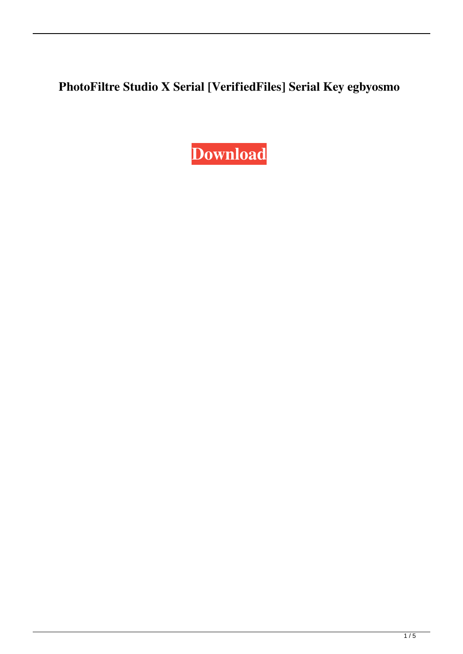**PhotoFiltre Studio X Serial [VerifiedFiles] Serial Key egbyosmo**

**[Download](http://evacdir.com/UGhvdG9GaWx0cmUgU3R1ZGlvIFggU2VyaWFsIFtWZXJpZmllZEZpbGVzXSBTZXJpYWwgS2V5UGh/consummated.fraternity.memberships.homebuilding/ruptures/mchsi.ZG93bmxvYWR8bmI2TVdGcU9YeDhNVFkxTWpRMk16QTFNSHg4TWpVM05IeDhLRTBwSUhKbFlXUXRZbXh2WnlCYlJtRnpkQ0JIUlU1ZA)**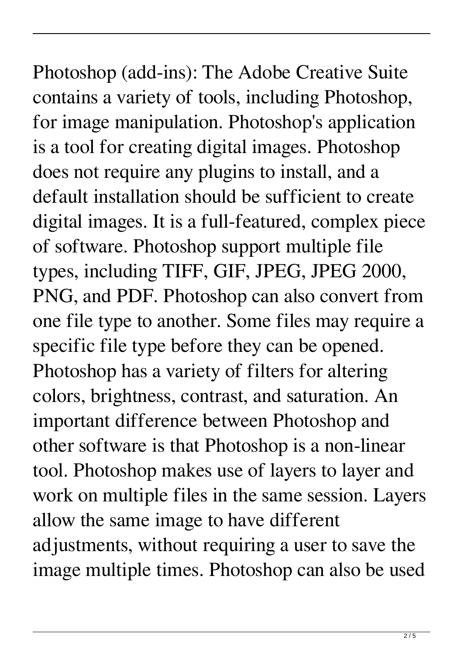Photoshop (add-ins): The Adobe Creative Suite contains a variety of tools, including Photoshop, for image manipulation. Photoshop's application is a tool for creating digital images. Photoshop does not require any plugins to install, and a default installation should be sufficient to create digital images. It is a full-featured, complex piece of software. Photoshop support multiple file types, including TIFF, GIF, JPEG, JPEG 2000, PNG, and PDF. Photoshop can also convert from one file type to another. Some files may require a specific file type before they can be opened. Photoshop has a variety of filters for altering colors, brightness, contrast, and saturation. An important difference between Photoshop and other software is that Photoshop is a non-linear tool. Photoshop makes use of layers to layer and work on multiple files in the same session. Layers allow the same image to have different adjustments, without requiring a user to save the image multiple times. Photoshop can also be used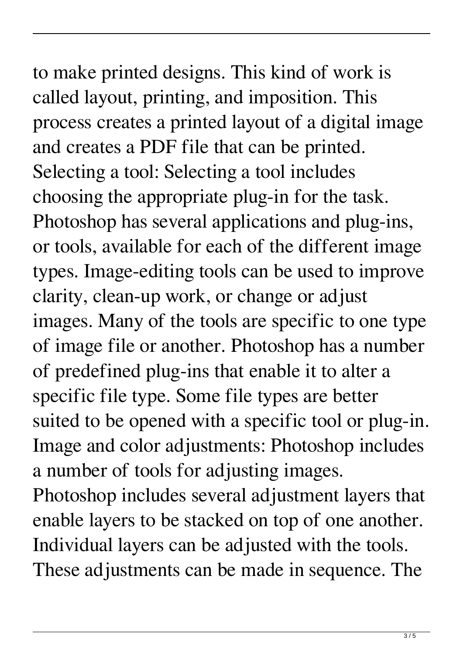## to make printed designs. This kind of work is called layout, printing, and imposition. This process creates a printed layout of a digital image and creates a PDF file that can be printed. Selecting a tool: Selecting a tool includes choosing the appropriate plug-in for the task.

Photoshop has several applications and plug-ins, or tools, available for each of the different image types. Image-editing tools can be used to improve clarity, clean-up work, or change or adjust images. Many of the tools are specific to one type of image file or another. Photoshop has a number of predefined plug-ins that enable it to alter a specific file type. Some file types are better suited to be opened with a specific tool or plug-in. Image and color adjustments: Photoshop includes a number of tools for adjusting images.

Photoshop includes several adjustment layers that enable layers to be stacked on top of one another. Individual layers can be adjusted with the tools. These adjustments can be made in sequence. The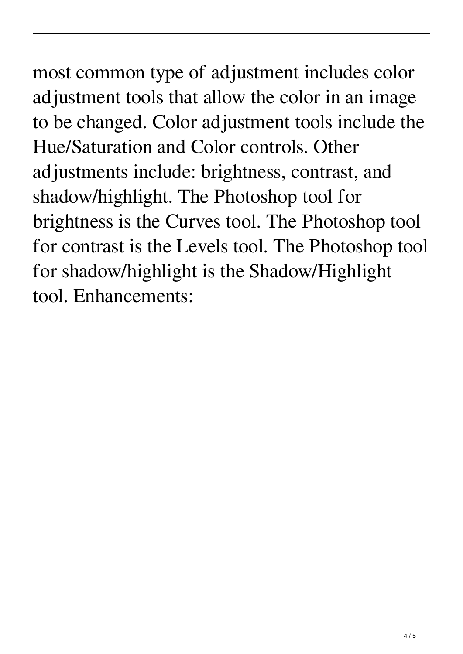## most common type of adjustment includes color adjustment tools that allow the color in an image to be changed. Color adjustment tools include the Hue/Saturation and Color controls. Other adjustments include: brightness, contrast, and shadow/highlight. The Photoshop tool for brightness is the Curves tool. The Photoshop tool for contrast is the Levels tool. The Photoshop tool for shadow/highlight is the Shadow/Highlight tool. Enhancements: